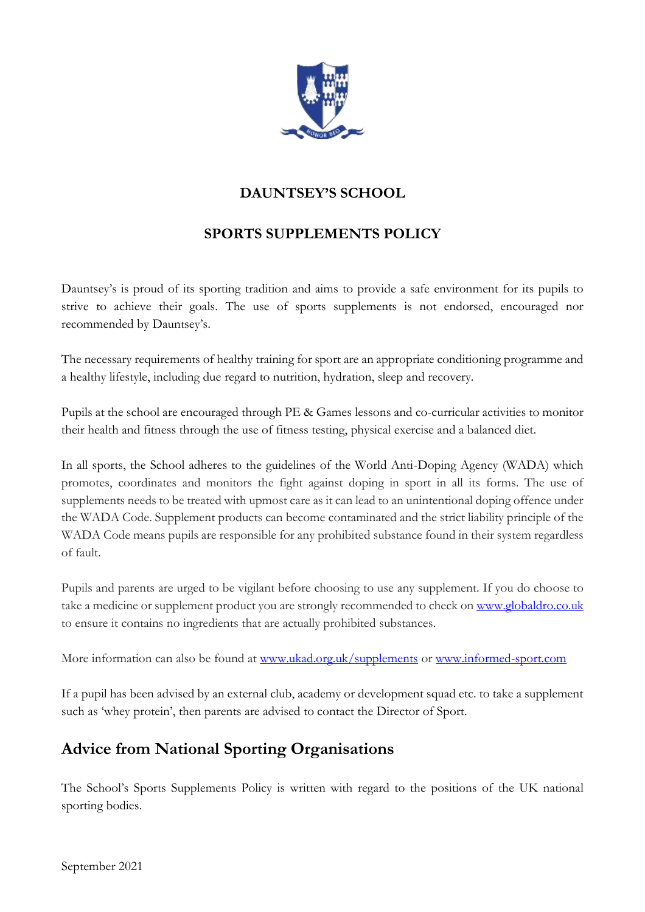

## **DAUNTSEY'S SCHOOL**

## **SPORTS SUPPLEMENTS POLICY**

Dauntsey's is proud of its sporting tradition and aims to provide a safe environment for its pupils to strive to achieve their goals. The use of sports supplements is not endorsed, encouraged nor recommended by Dauntsey's.

The necessary requirements of healthy training for sport are an appropriate conditioning programme and a healthy lifestyle, including due regard to nutrition, hydration, sleep and recovery.

Pupils at the school are encouraged through PE & Games lessons and co-curricular activities to monitor their health and fitness through the use of fitness testing, physical exercise and a balanced diet.

In all sports, the School adheres to the guidelines of the World Anti-Doping Agency (WADA) which promotes, coordinates and monitors the fight against doping in sport in all its forms. The use of supplements needs to be treated with upmost care as it can lead to an unintentional doping offence under the WADA Code. Supplement products can become contaminated and the strict liability principle of the WADA Code means pupils are responsible for any prohibited substance found in their system regardless of fault.

Pupils and parents are urged to be vigilant before choosing to use any supplement. If you do choose to take a medicine or supplement product you are strongly recommended to check o[n www.globaldro.co.uk](http://www.globaldro.co.uk/) to ensure it contains no ingredients that are actually prohibited substances.

More information can also be found at [www.ukad.org.uk/supplements](http://www.ukad.org.uk/supplements) or [www.informed-sport.com](http://www.informed-sport.com/)

If a pupil has been advised by an external club, academy or development squad etc. to take a supplement such as 'whey protein', then parents are advised to contact the Director of Sport.

## **Advice from National Sporting Organisations**

The School's Sports Supplements Policy is written with regard to the positions of the UK national sporting bodies.